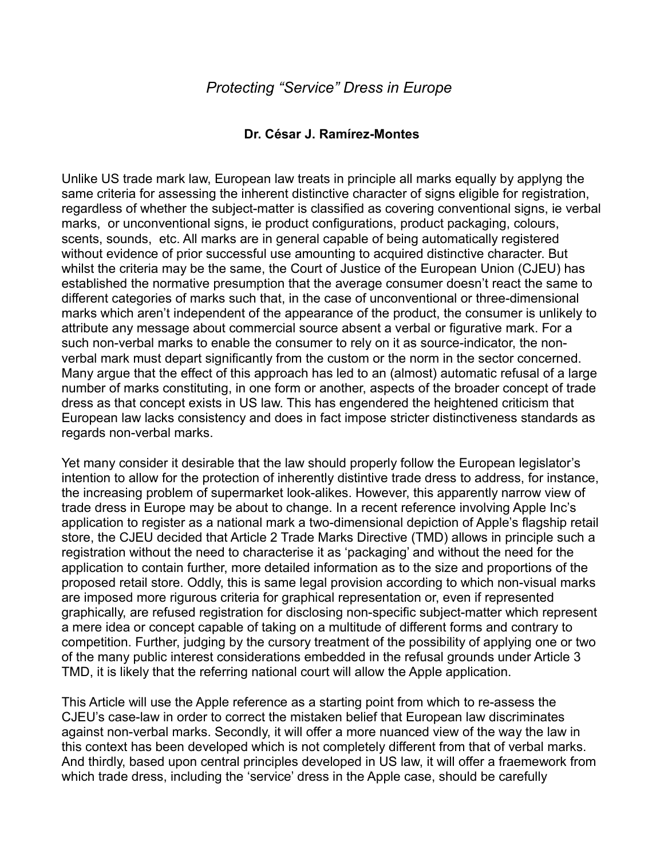## **Dr. César J. Ramírez-Montes**

Unlike US trade mark law, European law treats in principle all marks equally by applyng the same criteria for assessing the inherent distinctive character of signs eligible for registration, regardless of whether the subject-matter is classified as covering conventional signs, ie verbal marks, or unconventional signs, ie product configurations, product packaging, colours, scents, sounds, etc. All marks are in general capable of being automatically registered without evidence of prior successful use amounting to acquired distinctive character. But whilst the criteria may be the same, the Court of Justice of the European Union (CJEU) has established the normative presumption that the average consumer doesn't react the same to different categories of marks such that, in the case of unconventional or three-dimensional marks which aren't independent of the appearance of the product, the consumer is unlikely to attribute any message about commercial source absent a verbal or figurative mark. For a such non-verbal marks to enable the consumer to rely on it as source-indicator, the nonverbal mark must depart significantly from the custom or the norm in the sector concerned. Many argue that the effect of this approach has led to an (almost) automatic refusal of a large number of marks constituting, in one form or another, aspects of the broader concept of trade dress as that concept exists in US law. This has engendered the heightened criticism that European law lacks consistency and does in fact impose stricter distinctiveness standards as regards non-verbal marks.

Yet many consider it desirable that the law should properly follow the European legislator's intention to allow for the protection of inherently distintive trade dress to address, for instance, the increasing problem of supermarket look-alikes. However, this apparently narrow view of trade dress in Europe may be about to change. In a recent reference involving Apple Inc's application to register as a national mark a two-dimensional depiction of Apple's flagship retail store, the CJEU decided that Article 2 Trade Marks Directive (TMD) allows in principle such a registration without the need to characterise it as 'packaging' and without the need for the application to contain further, more detailed information as to the size and proportions of the proposed retail store. Oddly, this is same legal provision according to which non-visual marks are imposed more rigurous criteria for graphical representation or, even if represented graphically, are refused registration for disclosing non-specific subject-matter which represent a mere idea or concept capable of taking on a multitude of different forms and contrary to competition. Further, judging by the cursory treatment of the possibility of applying one or two of the many public interest considerations embedded in the refusal grounds under Article 3 TMD, it is likely that the referring national court will allow the Apple application.

This Article will use the Apple reference as a starting point from which to re-assess the CJEU's case-law in order to correct the mistaken belief that European law discriminates against non-verbal marks. Secondly, it will offer a more nuanced view of the way the law in this context has been developed which is not completely different from that of verbal marks. And thirdly, based upon central principles developed in US law, it will offer a fraemework from which trade dress, including the 'service' dress in the Apple case, should be carefully